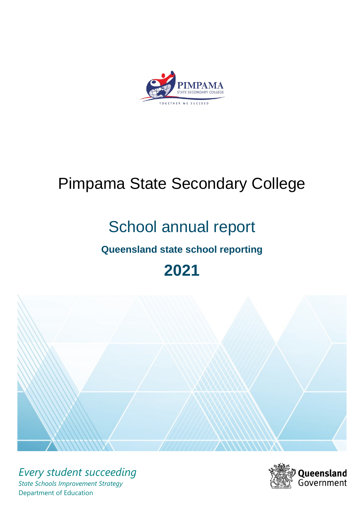

# Pimpama State Secondary College

# School annual report

# **Queensland state school reporting**

# **2021**



*Every student succeeding State Schools Improvement Strategy* Department of Education

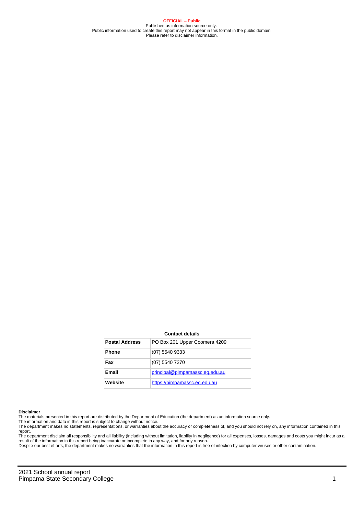**OFFICIAL – Public** Published as information source only. Public information used to create this report may not appear in this format in the public domain Please refer to disclaimer information.

#### **Contact details**

| <b>Postal Address</b> | PO Box 201 Upper Coomera 4209  |
|-----------------------|--------------------------------|
| <b>Phone</b>          | $(07)$ 5540 9333               |
| Fax                   | (07) 5540 7270                 |
| Email                 | principal@pimpamassc.eq.edu.au |
| Website               | https://pimpamassc.eq.edu.au   |

#### **Disclaimer**

The materials presented in this report are distributed by the Department of Education (the department) as an information source only.

The information and data in this report is subject to change without notice.<br>The department makes no statements, representations, or warranties about the accuracy or completeness of, and you should not rely on, any informa report. The department disclaim all responsibility and all liability (including without limitation, liability in negligence) for all expenses, losses, damages and costs you might incur as a

result of the information in this report being inaccurate or incomplete in any way, and for any reason.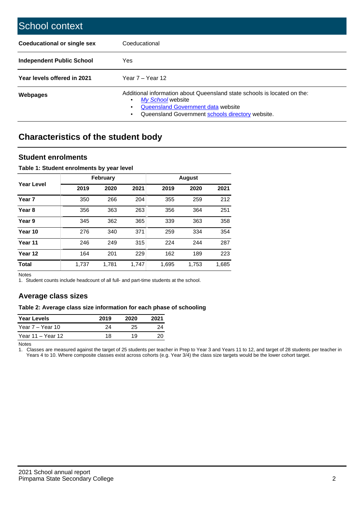| School context                     |                                                                                                                                                                                                   |
|------------------------------------|---------------------------------------------------------------------------------------------------------------------------------------------------------------------------------------------------|
| <b>Coeducational or single sex</b> | Coeducational                                                                                                                                                                                     |
| Independent Public School          | <b>Yes</b>                                                                                                                                                                                        |
| Year levels offered in 2021        | Year $7 -$ Year 12                                                                                                                                                                                |
| Webpages                           | Additional information about Queensland state schools is located on the:<br>My School website<br>٠<br>Queensland Government data website<br>Queensland Government schools directory website.<br>٠ |

# **Characteristics of the student body**

## **Student enrolments**

## **Table 1: Student enrolments by year level**

|                   |       | <b>February</b> |       |       | <b>August</b> |       |
|-------------------|-------|-----------------|-------|-------|---------------|-------|
| Year Level        | 2019  | 2020            | 2021  | 2019  | 2020          | 2021  |
| Year <sub>7</sub> | 350   | 266             | 204   | 355   | 259           | 212   |
| Year <sub>8</sub> | 356   | 363             | 263   | 356   | 364           | 251   |
| Year 9            | 345   | 362             | 365   | 339   | 363           | 358   |
| Year 10           | 276   | 340             | 371   | 259   | 334           | 354   |
| Year 11           | 246   | 249             | 315   | 224   | 244           | 287   |
| Year 12           | 164   | 201             | 229   | 162   | 189           | 223   |
| <b>Total</b>      | 1,737 | 1.781           | 1.747 | 1,695 | 1,753         | 1,685 |

Notes

1. Student counts include headcount of all full- and part-time students at the school.

## **Average class sizes**

## **Table 2: Average class size information for each phase of schooling**

| <b>Year Levels</b> | 2019 | 2020 | 2021 |
|--------------------|------|------|------|
| Year 7 – Year 10   | 24   | 25   | 24   |
| Year 11 – Year 12  | 18   | 19   |      |

Notes

1. Classes are measured against the target of 25 students per teacher in Prep to Year 3 and Years 11 to 12, and target of 28 students per teacher in Years 4 to 10. Where composite classes exist across cohorts (e.g. Year 3/4) the class size targets would be the lower cohort target.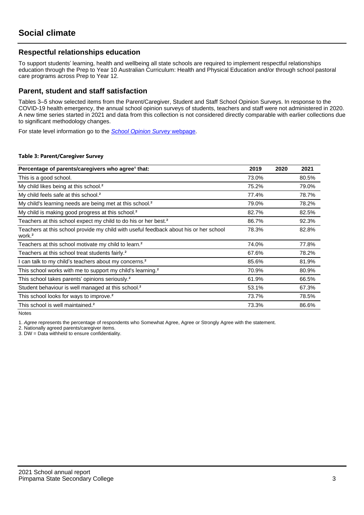# **Respectful relationships education**

To support students' learning, health and wellbeing all state schools are required to implement respectful relationships education through the Prep to Year 10 Australian Curriculum: Health and Physical Education and/or through school pastoral care programs across Prep to Year 12.

## **Parent, student and staff satisfaction**

Tables 3–5 show selected items from the Parent/Caregiver, Student and Staff School Opinion Surveys. In response to the COVID-19 health emergency, the annual school opinion surveys of students, teachers and staff were not administered in 2020. A new time series started in 2021 and data from this collection is not considered directly comparable with earlier collections due to significant methodology changes.

For state level information go to the **[School Opinion Survey](https://qed.qld.gov.au/publications/reports/statistics/schooling/schools/schoolopinionsurvey) webpage**.

## **Table 3: Parent/Caregiver Survey**

| Percentage of parents/caregivers who agree <sup>1</sup> that:                                               | 2019  | 2020 | 2021  |
|-------------------------------------------------------------------------------------------------------------|-------|------|-------|
| This is a good school.                                                                                      | 73.0% |      | 80.5% |
| My child likes being at this school. <sup>2</sup>                                                           | 75.2% |      | 79.0% |
| My child feels safe at this school. <sup>2</sup>                                                            | 77.4% |      | 78.7% |
| My child's learning needs are being met at this school. <sup>2</sup>                                        | 79.0% |      | 78.2% |
| My child is making good progress at this school. <sup>2</sup>                                               | 82.7% |      | 82.5% |
| Teachers at this school expect my child to do his or her best. <sup>2</sup>                                 | 86.7% |      | 92.3% |
| Teachers at this school provide my child with useful feedback about his or her school<br>work. <sup>2</sup> | 78.3% |      | 82.8% |
| Teachers at this school motivate my child to learn. <sup>2</sup>                                            | 74.0% |      | 77.8% |
| Teachers at this school treat students fairly. <sup>2</sup>                                                 | 67.6% |      | 78.2% |
| can talk to my child's teachers about my concerns. <sup>2</sup>                                             | 85.6% |      | 81.9% |
| This school works with me to support my child's learning. <sup>2</sup>                                      | 70.9% |      | 80.9% |
| This school takes parents' opinions seriously. <sup>2</sup>                                                 | 61.9% |      | 66.5% |
| Student behaviour is well managed at this school. <sup>2</sup>                                              | 53.1% |      | 67.3% |
| This school looks for ways to improve. <sup>2</sup>                                                         | 73.7% |      | 78.5% |
| This school is well maintained. <sup>2</sup>                                                                | 73.3% |      | 86.6% |

Notes

1. Agree represents the percentage of respondents who Somewhat Agree, Agree or Strongly Agree with the statement.

2. Nationally agreed parents/caregiver items.

3. DW = Data withheld to ensure confidentiality.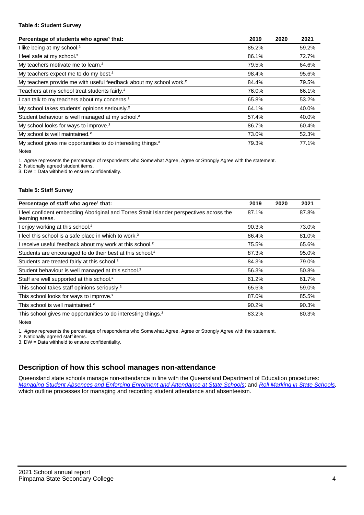## **Table 4: Student Survey**

| Percentage of students who agree <sup>1</sup> that:                            | 2019  | 2020 | 2021  |
|--------------------------------------------------------------------------------|-------|------|-------|
| I like being at my school. <sup>2</sup>                                        | 85.2% |      | 59.2% |
| I feel safe at my school. <sup>2</sup>                                         | 86.1% |      | 72.7% |
| My teachers motivate me to learn. <sup>2</sup>                                 | 79.5% |      | 64.6% |
| My teachers expect me to do my best. <sup>2</sup>                              | 98.4% |      | 95.6% |
| My teachers provide me with useful feedback about my school work. <sup>2</sup> | 84.4% |      | 79.5% |
| Teachers at my school treat students fairly. <sup>2</sup>                      | 76.0% |      | 66.1% |
| I can talk to my teachers about my concerns. <sup>2</sup>                      | 65.8% |      | 53.2% |
| My school takes students' opinions seriously. <sup>2</sup>                     | 64.1% |      | 40.0% |
| Student behaviour is well managed at my school. <sup>2</sup>                   | 57.4% |      | 40.0% |
| My school looks for ways to improve. <sup>2</sup>                              | 86.7% |      | 60.4% |
| My school is well maintained. <sup>2</sup>                                     | 73.0% |      | 52.3% |
| My school gives me opportunities to do interesting things. <sup>2</sup>        | 79.3% |      | 77.1% |

Notes

1. Agree represents the percentage of respondents who Somewhat Agree, Agree or Strongly Agree with the statement.

2. Nationally agreed student items.

3. DW = Data withheld to ensure confidentiality.

## **Table 5: Staff Survey**

| Percentage of staff who agree <sup>1</sup> that:                                                            | 2019  | 2020 | 2021  |
|-------------------------------------------------------------------------------------------------------------|-------|------|-------|
| I feel confident embedding Aboriginal and Torres Strait Islander perspectives across the<br>learning areas. | 87.1% |      | 87.8% |
| I enjoy working at this school. <sup>2</sup>                                                                | 90.3% |      | 73.0% |
| I feel this school is a safe place in which to work. <sup>2</sup>                                           | 86.4% |      | 81.0% |
| I receive useful feedback about my work at this school. <sup>2</sup>                                        | 75.5% |      | 65.6% |
| Students are encouraged to do their best at this school. <sup>2</sup>                                       | 87.3% |      | 95.0% |
| Students are treated fairly at this school. <sup>2</sup>                                                    | 84.3% |      | 79.0% |
| Student behaviour is well managed at this school. <sup>2</sup>                                              | 56.3% |      | 50.8% |
| Staff are well supported at this school. <sup>2</sup>                                                       | 61.2% |      | 61.7% |
| This school takes staff opinions seriously. <sup>2</sup>                                                    | 65.6% |      | 59.0% |
| This school looks for ways to improve. <sup>2</sup>                                                         | 87.0% |      | 85.5% |
| This school is well maintained. <sup>2</sup>                                                                | 90.2% |      | 90.3% |
| This school gives me opportunities to do interesting things. <sup>2</sup>                                   | 83.2% |      | 80.3% |

Notes

1. Agree represents the percentage of respondents who Somewhat Agree, Agree or Strongly Agree with the statement.

2. Nationally agreed staff items.

3. DW = Data withheld to ensure confidentiality.

# **Description of how this school manages non-attendance**

Queensland state schools manage non-attendance in line with the Queensland Department of Education procedures: [Managing Student Absences and Enforcing Enrolment and Attendance at State Schools](https://ppr.qed.qld.gov.au/pp/managing-student-absences-and-enforcing-enrolment-and-attendance-at-state-schools-procedure); and [Roll Marking in State Schools,](https://ppr.qed.qld.gov.au/pp/roll-marking-in-state-schools-procedure) which outline processes for managing and recording student attendance and absenteeism.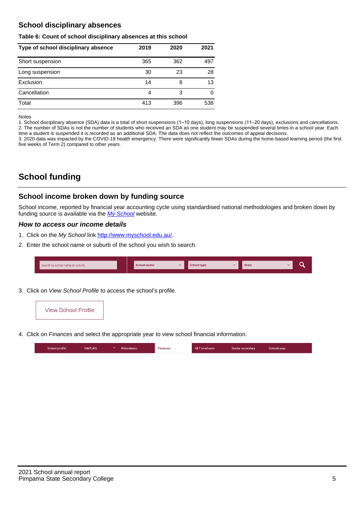# **School disciplinary absences**

## **Table 6: Count of school disciplinary absences at this school**

| Type of school disciplinary absence | 2019 | 2020 | 2021 |
|-------------------------------------|------|------|------|
| Short suspension                    | 365  | 362  | 497  |
| Long suspension                     | 30   | 23   | 28   |
| Exclusion                           | 14   | 8    | 13   |
| Cancellation                        | 4    | 3    | 0    |
| Total                               | 413  | 396  | 538  |

Notes

1. School disciplinary absence (SDA) data is a total of short suspensions (1–10 days), long suspensions (11–20 days), exclusions and cancellations. 2. The number of SDAs is not the number of students who received an SDA as one student may be suspended several times in a school year. Each time a student is suspended it is recorded as an additional SDA. The data does not reflect the outcomes of appeal decisions.

3. 2020 data was impacted by the COVID-19 health emergency. There were significantly fewer SDAs during the home-based learning period (the first five weeks of Term 2) compared to other years.

# **School funding**

# **School income broken down by funding source**

School income, reported by financial year accounting cycle using standardised national methodologies and broken down by funding source is available via the [My School](http://www.myschool.edu.au/) website.

## **How to access our income details**

- 1. Click on the My School link <http://www.myschool.edu.au/>.
- 2. Enter the school name or suburb of the school you wish to search.

| Search by school name or suburb | <b>School sector</b> | School type | <b>State</b> |  |
|---------------------------------|----------------------|-------------|--------------|--|
|                                 |                      |             |              |  |

3. Click on View School Profile to access the school's profile.



4. Click on Finances and select the appropriate year to view school financial information.

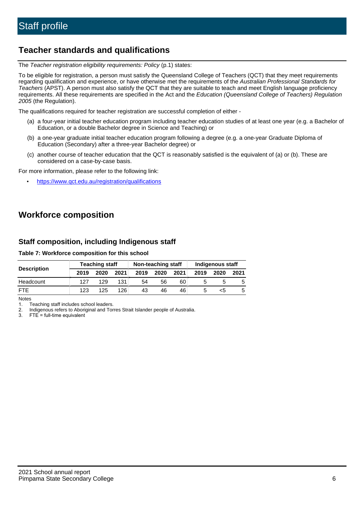# **Teacher standards and qualifications**

The Teacher registration eligibility requirements: Policy (p.1) states:

To be eligible for registration, a person must satisfy the Queensland College of Teachers (QCT) that they meet requirements regarding qualification and experience, or have otherwise met the requirements of the Australian Professional Standards for Teachers (APST). A person must also satisfy the QCT that they are suitable to teach and meet English language proficiency requirements. All these requirements are specified in the Act and the Education (Queensland College of Teachers) Regulation 2005 (the Regulation).

The qualifications required for teacher registration are successful completion of either -

- (a) a four-year initial teacher education program including teacher education studies of at least one year (e.g. a Bachelor of Education, or a double Bachelor degree in Science and Teaching) or
- (b) a one-year graduate initial teacher education program following a degree (e.g. a one-year Graduate Diploma of Education (Secondary) after a three-year Bachelor degree) or
- (c) another course of teacher education that the QCT is reasonably satisfied is the equivalent of (a) or (b). These are considered on a case-by-case basis.

For more information, please refer to the following link:

• <https://www.qct.edu.au/registration/qualifications>

# **Workforce composition**

# **Staff composition, including Indigenous staff**

## **Table 7: Workforce composition for this school**

|                    | <b>Teaching staff</b> |      |      | Non-teaching staff |      |      | <b>Indigenous staff</b> |      |      |
|--------------------|-----------------------|------|------|--------------------|------|------|-------------------------|------|------|
| <b>Description</b> | 2019                  | 2020 | 2021 | 2019               | 2020 | 2021 | 2019                    | 2020 | 2021 |
| Headcount          | 127                   | 129  | 131  | 54                 | 56   | 60   |                         |      |      |
| <b>FTF</b>         | 123                   | 125  | 126  | 43                 | 46   | 46   |                         | <:   |      |

Notes

1. Teaching staff includes school leaders.

2. Indigenous refers to Aboriginal and Torres Strait Islander people of Australia.

3. FTE = full-time equivalent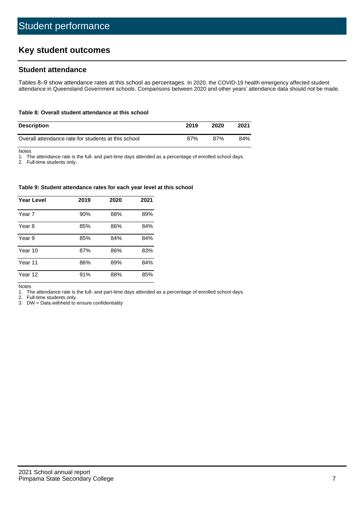# **Key student outcomes**

# **Student attendance**

Tables 8–9 show attendance rates at this school as percentages. In 2020, the COVID-19 health emergency affected student attendance in Queensland Government schools. Comparisons between 2020 and other years' attendance data should not be made.

#### **Table 8: Overall student attendance at this school**

| <b>Description</b>                                  | 2019 | 2020 | 2021 |
|-----------------------------------------------------|------|------|------|
| Overall attendance rate for students at this school | 87%  | 87%  | 84%  |

Notes

1. The attendance rate is the full- and part-time days attended as a percentage of enrolled school days.

2. Full-time students only.

#### **Table 9: Student attendance rates for each year level at this school**

| <b>Year Level</b> | 2019 | 2020 | 2021 |
|-------------------|------|------|------|
| Year 7            | 90%  | 88%  | 89%  |
| Year 8            | 85%  | 86%  | 84%  |
| Year 9            | 85%  | 84%  | 84%  |
| Year 10           | 87%  | 86%  | 83%  |
| Year 11           | 86%  | 89%  | 84%  |
| Year 12           | 91%  | 88%  | 85%  |

Notes

1. The attendance rate is the full- and part-time days attended as a percentage of enrolled school days.

2. Full-time students only.

3. DW = Data withheld to ensure confidentiality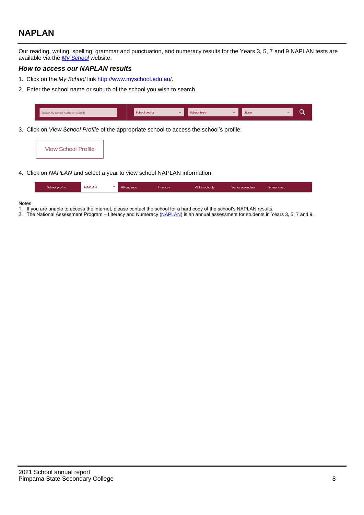# **NAPLAN**

Our reading, writing, spelling, grammar and punctuation, and numeracy results for the Years 3, 5, 7 and 9 NAPLAN tests are available via the [My School](http://www.myschool.edu.au/) website.

## **How to access our NAPLAN results**

- 1. Click on the My School link <http://www.myschool.edu.au/>.
- 2. Enter the school name or suburb of the school you wish to search.

| Search by school name or suburb | <b>School sector</b> | <b>School type</b>                        |          | <b>State</b> |  |
|---------------------------------|----------------------|-------------------------------------------|----------|--------------|--|
|                                 |                      |                                           |          |              |  |
|                                 |                      | $\sim$ $\sim$ $\sim$ $\sim$ $\sim$ $\sim$ | $\cdots$ |              |  |

3. Click on View School Profile of the appropriate school to access the school's profile.

| <b>View School Profile</b> |  |  |  |
|----------------------------|--|--|--|
|----------------------------|--|--|--|

4. Click on NAPLAN and select a year to view school NAPLAN information.

|  | School profile | <b>NAPLAN</b><br>$\sim$ 1 | Attendance | <b>Finances</b> | <b>VET</b> in schools | Senior secondary | Schools map |
|--|----------------|---------------------------|------------|-----------------|-----------------------|------------------|-------------|
|--|----------------|---------------------------|------------|-----------------|-----------------------|------------------|-------------|

#### Notes

- 1. If you are unable to access the internet, please contact the school for a hard copy of the school's NAPLAN results.
- 2. The National Assessment Program Literacy and Numeracy ([NAPLAN\)](http://www.nap.edu.au/naplan) is an annual assessment for students in Years 3, 5, 7 and 9.